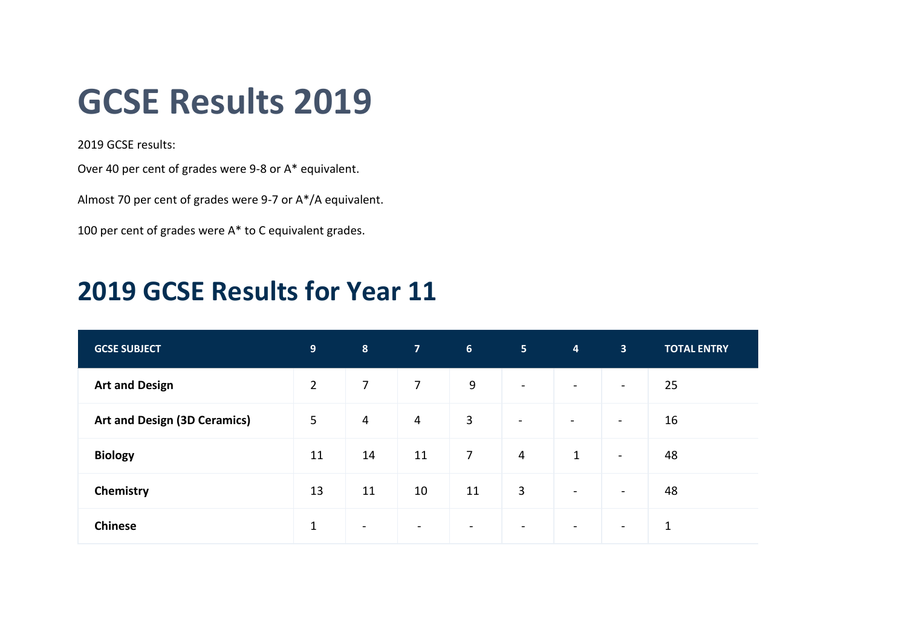## **GCSE Results 2019**

2019 GCSE results:

Over 40 per cent of grades were 9-8 or A\* equivalent.

Almost 70 per cent of grades were 9-7 or A\*/A equivalent.

100 per cent of grades were A\* to C equivalent grades.

## **2019 GCSE Results for Year 11**

| <b>GCSE SUBJECT</b>                 | 9 <sup>°</sup> | 8              | <b>AT</b>      | 6 <sup>1</sup>           | 5 <sub>1</sub> | $\overline{\mathbf{4}}$  | 3 <sup>1</sup>           | <b>TOTAL ENTRY</b> |
|-------------------------------------|----------------|----------------|----------------|--------------------------|----------------|--------------------------|--------------------------|--------------------|
| <b>Art and Design</b>               | $\overline{2}$ | $\overline{7}$ | $\overline{7}$ | 9                        | $\sim$         | $\blacksquare$           | $\sim$                   | 25                 |
| <b>Art and Design (3D Ceramics)</b> | 5              | $\overline{4}$ | $\overline{4}$ | $\mathbf{3}$             | $\blacksquare$ | $\blacksquare$           | $\overline{\phantom{a}}$ | 16                 |
| <b>Biology</b>                      | 11             | 14             | 11             | $\overline{7}$           | $\overline{4}$ | $\mathbf{1}$             | $\overline{\phantom{a}}$ | 48                 |
| Chemistry                           | 13             | 11             | 10             | 11                       | 3              | $\blacksquare$           | $\blacksquare$           | 48                 |
| <b>Chinese</b>                      | $\mathbf{1}$   | $\blacksquare$ | $\blacksquare$ | $\overline{\phantom{a}}$ | $\sim$         | $\overline{\phantom{a}}$ | $\overline{\phantom{a}}$ | $\mathbf{1}$       |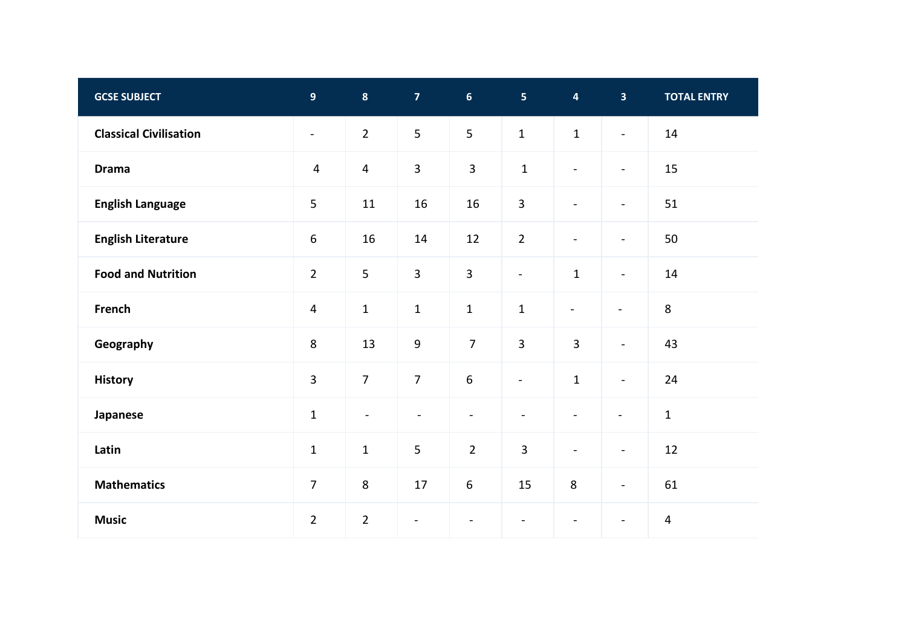| <b>GCSE SUBJECT</b>           | $\overline{9}$           | $\boldsymbol{8}$        | $\overline{7}$           | 6 <sup>1</sup>   | 5 <sup>1</sup>           | $\overline{\mathbf{4}}$  | $\overline{\mathbf{3}}$  | <b>TOTAL ENTRY</b> |
|-------------------------------|--------------------------|-------------------------|--------------------------|------------------|--------------------------|--------------------------|--------------------------|--------------------|
| <b>Classical Civilisation</b> | $\overline{\phantom{a}}$ | $\overline{2}$          | 5                        | $5\overline{)}$  | $\mathbf{1}$             | $\mathbf{1}$             | $\overline{\phantom{a}}$ | 14                 |
| <b>Drama</b>                  | $\overline{4}$           | $\overline{\mathbf{4}}$ | $\overline{3}$           | $\overline{3}$   | $\mathbf 1$              | $\blacksquare$           | $\blacksquare$           | 15                 |
| <b>English Language</b>       | 5                        | $11\,$                  | 16                       | 16               | $\mathbf{3}$             | $\overline{\phantom{a}}$ | $\overline{\phantom{a}}$ | 51                 |
| <b>English Literature</b>     | $\boldsymbol{6}$         | 16                      | 14                       | 12               | $\overline{2}$           | $\blacksquare$           | $\overline{\phantom{a}}$ | 50                 |
| <b>Food and Nutrition</b>     | $\overline{2}$           | 5                       | $\overline{3}$           | $\overline{3}$   | $\blacksquare$           | $\mathbf 1$              | $\overline{\phantom{a}}$ | 14                 |
| French                        | $\overline{4}$           | $\mathbf 1$             | $1\,$                    | $\mathbf{1}$     | $\mathbf{1}$             | $\blacksquare$           | $\blacksquare$           | $\,8\,$            |
| Geography                     | 8                        | 13                      | $\boldsymbol{9}$         | $\overline{7}$   | $\overline{3}$           | $\overline{3}$           | $\blacksquare$           | 43                 |
| <b>History</b>                | 3                        | $\overline{7}$          | $\overline{7}$           | $6\,$            | $\blacksquare$           | $\mathbf 1$              | $\blacksquare$           | 24                 |
| Japanese                      | $\mathbf{1}$             | $\blacksquare$          | $\blacksquare$           | $\blacksquare$   | $\overline{\phantom{a}}$ | $\overline{\phantom{a}}$ | $\blacksquare$           | $\mathbf{1}$       |
| Latin                         | $\mathbf 1$              | $\mathbf 1$             | 5                        | $\overline{2}$   | $\overline{3}$           | $\blacksquare$           | $\blacksquare$           | 12                 |
| <b>Mathematics</b>            | $\overline{7}$           | $\,8\,$                 | 17                       | $\boldsymbol{6}$ | 15                       | $\bf 8$                  | $\blacksquare$           | 61                 |
| <b>Music</b>                  | $\overline{2}$           | $\overline{2}$          | $\overline{\phantom{a}}$ |                  |                          |                          | $\blacksquare$           | $\overline{4}$     |